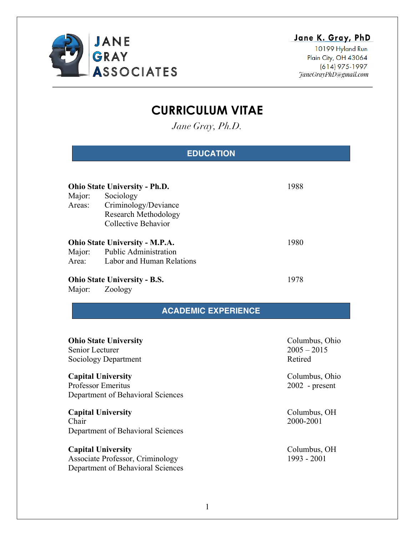

## Jane K. Gray, PhD

10199 Hyland Run Plain City, OH 43064 (614) 975-1997 TaneGrayPhD@gmail.com

# **CURRICULUM VITAE**

*Jane Gray, Ph.D.*

## **EDUCATION**

| <b>Ohio State University - Ph.D.</b> |                                                                  | 1988 |
|--------------------------------------|------------------------------------------------------------------|------|
| Major:                               | Sociology<br>Areas: Criminology/Deviance<br>Research Methodology |      |
|                                      | Collective Behavior<br><b>Ohio State University - M.P.A.</b>     | 1980 |
| Area:                                | Major: Public Administration<br>Labor and Human Relations        |      |
| <b>Ohio State University - B.S.</b>  |                                                                  | 1978 |

Major: Zoology

## **ACADEMIC EXPERIENCE**

| <b>Ohio State University</b><br>Senior Lecturer<br>Sociology Department                            | Columbus, Ohio<br>$2005 - 2015$<br>Retired |
|----------------------------------------------------------------------------------------------------|--------------------------------------------|
| <b>Capital University</b><br><b>Professor Emeritus</b><br>Department of Behavioral Sciences        | Columbus, Ohio<br>$2002$ - present         |
| <b>Capital University</b><br>Chair<br>Department of Behavioral Sciences                            | Columbus, OH<br>2000-2001                  |
| <b>Capital University</b><br>Associate Professor, Criminology<br>Department of Behavioral Sciences | Columbus, OH<br>$1993 - 2001$              |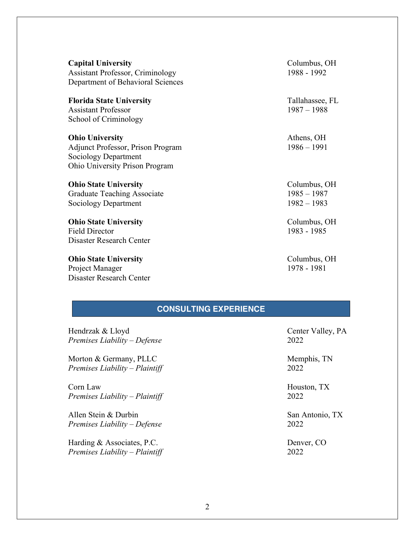**Capital University** Columbus, OH Assistant Professor, Criminology 1988 - 1992 Department of Behavioral Sciences

**Florida State University** Tallahassee, FL Assistant Professor 1987 – 1988 School of Criminology

**Ohio** University **Athens, OH** Adjunct Professor, Prison Program 1986 – 1991 Sociology Department Ohio University Prison Program

**Ohio** State University Columbus, OH Graduate Teaching Associate 1985 – 1987 Sociology Department 1982 – 1983

**Ohio** State University Columbus, OH Field Director 1983 - 1985 Disaster Research Center

**Ohio** State University Columbus, OH Project Manager 1978 - 1981 Disaster Research Center

### **CONSULTING EXPERIENCE**

Hendrzak & Lloyd Center Valley, PA *Premises Liability – Defense* 2022

Morton & Germany, PLLC Memphis, TN *Premises Liability – Plaintiff* 2022

Corn Law Houston, TX *Premises Liability – Plaintiff* 2022

Allen Stein & Durbin San Antonio, TX *Premises Liability – Defense* 2022

Harding & Associates, P.C. Denver, CO *Premises Liability – Plaintiff* 2022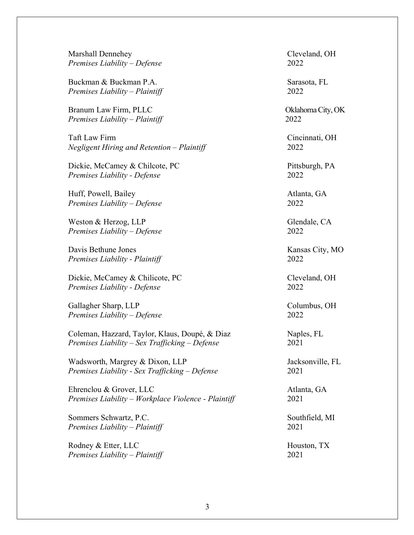Marshall Dennehey Cleveland, OH *Premises Liability – Defense* 2022

Buckman & Buckman P.A. Sarasota, FL *Premises Liability – Plaintiff* 2022

Branum Law Firm, PLLC **Cambridge City, OK** Oklahoma City, OK *Premises Liability – Plaintiff* 2022

Taft Law Firm Cincinnati, OH *Negligent Hiring and Retention – Plaintiff* 2022

Dickie, McCamey & Chilcote, PC Pittsburgh, PA *Premises Liability - Defense* 2022

Huff, Powell, Bailey **Atlanta**, GA *Premises Liability – Defense* 2022

Weston & Herzog, LLP Glendale, CA *Premises Liability – Defense* 2022

Davis Bethune Jones Kansas City, MO *Premises Liability - Plaintiff* 2022

Dickie, McCamey & Chilicote, PC Cleveland, OH *Premises Liability - Defense* 2022

Gallagher Sharp, LLP Columbus, OH *Premises Liability – Defense* 2022

Coleman, Hazzard, Taylor, Klaus, Doupé, & Diaz Naples, FL *Premises Liability – Sex Trafficking – Defense* 2021

Wadsworth, Margrey & Dixon, LLP Jacksonville, FL *Premises Liability - Sex Trafficking – Defense* 2021

Ehrenclou & Grover, LLC Atlanta, GA *Premises Liability – Workplace Violence - Plaintiff* 2021

Sommers Schwartz, P.C. Southfield, MI *Premises Liability – Plaintiff* 2021

Rodney & Etter, LLC Houston, TX *Premises Liability – Plaintiff* 2021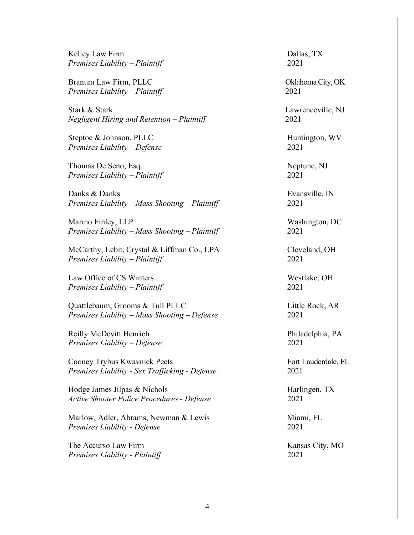Kelley Law Firm Dallas, TX *Premises Liability – Plaintiff* 2021

Branum Law Firm, PLLC **Cambridge City, OK** *Premises Liability – Plaintiff* 2021

Stark & Stark Lawrenceville, NJ *Negligent Hiring and Retention – Plaintiff* 2021

Steptoe & Johnson, PLLC Huntington, WV *Premises Liability – Defense* 2021

Thomas De Seno, Esq. Neptune, NJ *Premises Liability – Plaintiff* 2021

Danks & Danks **Evansville**, IN *Premises Liability – Mass Shooting – Plaintiff* 2021

Marino Finley, LLP Washington, DC *Premises Liability – Mass Shooting – Plaintiff* 2021

McCarthy, Lebit, Crystal & Liffman Co., LPA Cleveland, OH *Premises Liability – Plaintiff* 2021

Law Office of CS Winters Westlake, OH *Premises Liability – Plaintiff* 2021

Quattlebaum, Grooms & Tull PLLC Little Rock, AR *Premises Liability – Mass Shooting – Defense* 2021

Reilly McDevitt Henrich Philadelphia, PA *Premises Liability – Defense* 2021

Cooney Trybus Kwavnick Peets Fort Lauderdale, FL *Premises Liability - Sex Trafficking - Defense* 2021

Hodge James Jilpas & Nichols Harlingen, TX *Active Shooter Police Procedures - Defense* 2021

Marlow, Adler, Abrams, Newman & Lewis Miami, FL *Premises Liability - Defense* 2021

The Accurso Law Firm Kansas City, MO *Premises Liability - Plaintiff* 2021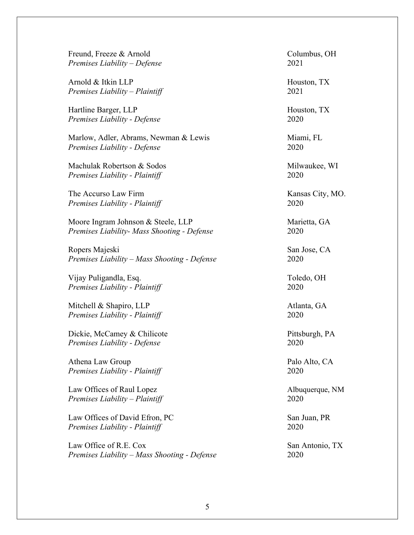Freund, Freeze & Arnold Columbus, OH *Premises Liability – Defense* 2021

Arnold & Itkin LLP Houston, TX *Premises Liability – Plaintiff* 2021

Hartline Barger, LLP Houston, TX *Premises Liability - Defense* 2020

Marlow, Adler, Abrams, Newman & Lewis Miami, FL *Premises Liability - Defense* 2020

Machulak Robertson & Sodos Milwaukee, WI *Premises Liability - Plaintiff* 2020

The Accurso Law Firm Kansas City, MO. *Premises Liability - Plaintiff* 2020

Moore Ingram Johnson & Steele, LLP Marietta, GA *Premises Liability- Mass Shooting - Defense* 2020

Ropers Majeski San Jose, CA *Premises Liability – Mass Shooting - Defense* 2020

Vijay Puligandla, Esq. Toledo, OH *Premises Liability - Plaintiff* 2020

Mitchell & Shapiro, LLP Atlanta, GA *Premises Liability - Plaintiff* 2020

Dickie, McCamey & Chilicote Pittsburgh, PA *Premises Liability - Defense* 2020

Athena Law Group Palo Alto, CA *Premises Liability - Plaintiff* 2020

Law Offices of Raul Lopez Albuquerque, NM *Premises Liability – Plaintiff* 2020

Law Offices of David Efron, PC San Juan, PR *Premises Liability - Plaintiff* 2020

Law Office of R.E. Cox San Antonio, TX *Premises Liability – Mass Shooting - Defense* 2020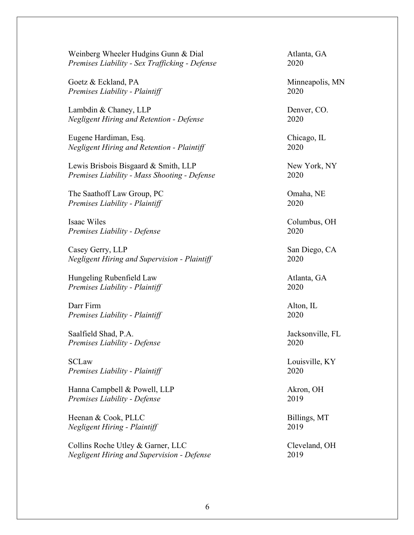Weinberg Wheeler Hudgins Gunn & Dial Atlanta, GA *Premises Liability - Sex Trafficking - Defense* 2020

Goetz & Eckland, PA Minneapolis, MN *Premises Liability - Plaintiff* 2020

Lambdin & Chaney, LLP Denver, CO. *Negligent Hiring and Retention - Defense* 2020

Eugene Hardiman, Esq. Chicago, IL *Negligent Hiring and Retention - Plaintiff* 2020

Lewis Brisbois Bisgaard & Smith, LLP New York, NY *Premises Liability - Mass Shooting - Defense* 2020

The Saathoff Law Group, PC **Omaha, NE** *Premises Liability - Plaintiff* 2020

Isaac Wiles Columbus, OH *Premises Liability - Defense* 2020

Casey Gerry, LLP San Diego, CA *Negligent Hiring and Supervision - Plaintiff* 2020

Hungeling Rubenfield Law Atlanta, GA *Premises Liability - Plaintiff* 2020

Darr Firm Alton, IL *Premises Liability - Plaintiff* 2020

Saalfield Shad, P.A. Jacksonville, FL *Premises Liability - Defense* 2020

SCLaw Louisville, KY *Premises Liability - Plaintiff* 2020

Hanna Campbell & Powell, LLP Akron, OH *Premises Liability - Defense* 2019

Heenan & Cook, PLLC Billings, MT *Negligent Hiring - Plaintiff* 2019

Collins Roche Utley & Garner, LLC Cleveland, OH *Negligent Hiring and Supervision - Defense* 2019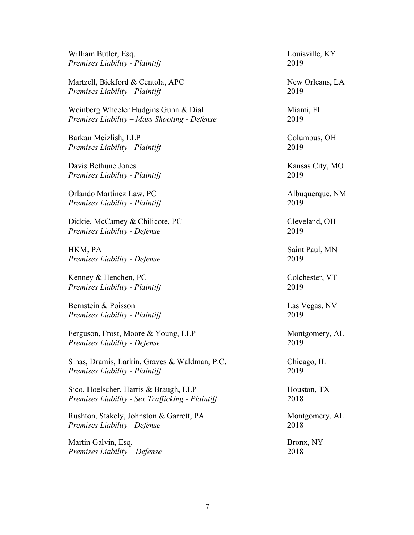Martzell, Bickford & Centola, APC New Orleans, LA

Weinberg Wheeler Hudgins Gunn & Dial Miami, FL *Premises Liability – Mass Shooting - Defense* 2019

Barkan Meizlish, LLP Columbus, OH *Premises Liability - Plaintiff* 2019

Davis Bethune Jones Kansas City, MO *Premises Liability - Plaintiff* 2019

Orlando Martinez Law, PC Albuquerque, NM *Premises Liability - Plaintiff* 2019

Dickie, McCamey & Chilicote, PC Cleveland, OH *Premises Liability - Defense* 2019

HKM, PA Saint Paul, MN *Premises Liability - Defense* 2019

Kenney & Henchen, PC Colchester, VT *Premises Liability - Plaintiff* 2019

Bernstein & Poisson Las Vegas, NV *Premises Liability - Plaintiff* 2019

Ferguson, Frost, Moore & Young, LLP Montgomery, AL *Premises Liability - Defense* 2019

Sinas, Dramis, Larkin, Graves & Waldman, P.C. Chicago, IL *Premises Liability - Plaintiff* 2019

Sico, Hoelscher, Harris & Braugh, LLP Houston, TX *Premises Liability - Sex Trafficking - Plaintiff* 2018

Rushton, Stakely, Johnston & Garrett, PA Montgomery, AL *Premises Liability - Defense* 2018

Martin Galvin, Esq. Bronx, NY *Premises Liability – Defense* 2018

William Butler, Esq. **Louisville, KY** *Premises Liability - Plaintiff* 2019

*Premises Liability - Plaintiff* 2019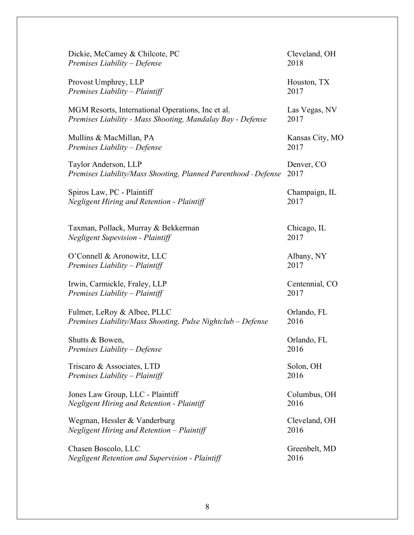| Dickie, McCamey & Chilcote, PC                                 | Cleveland, OH   |
|----------------------------------------------------------------|-----------------|
| Premises Liability – Defense                                   | 2018            |
| Provost Umphrey, LLP                                           | Houston, TX     |
| Premises Liability - Plaintiff                                 | 2017            |
| MGM Resorts, International Operations, Inc et al.              | Las Vegas, NV   |
| Premises Liability - Mass Shooting, Mandalay Bay - Defense     | 2017            |
| Mullins & MacMillan, PA                                        | Kansas City, MO |
| Premises Liability – Defense                                   | 2017            |
| Taylor Anderson, LLP                                           | Denver, CO      |
| Premises Liability/Mass Shooting, Planned Parenthood - Defense | 2017            |
| Spiros Law, PC - Plaintiff                                     | Champaign, IL   |
| <b>Negligent Hiring and Retention - Plaintiff</b>              | 2017            |
| Taxman, Pollack, Murray & Bekkerman                            | Chicago, IL     |
| <b>Negligent Supevision - Plaintiff</b>                        | 2017            |
| O'Connell & Aronowitz, LLC                                     | Albany, NY      |
| Premises Liability – Plaintiff                                 | 2017            |
| Irwin, Carmickle, Fraley, LLP                                  | Centennial, CO  |
| Premises Liability – Plaintiff                                 | 2017            |
| Fulmer, LeRoy & Albee, PLLC                                    | Orlando, FL     |
| Premises Liability/Mass Shooting, Pulse Nightclub - Defense    | 2016            |
| Shutts & Bowen,                                                | Orlando, FL     |
| Premises Liability – Defense                                   | 2016            |
| Triscaro & Associates, LTD                                     | Solon, OH       |
| Premises Liability - Plaintiff                                 | 2016            |
| Jones Law Group, LLC - Plaintiff                               | Columbus, OH    |
| Negligent Hiring and Retention - Plaintiff                     | 2016            |
| Wegman, Hessler & Vanderburg                                   | Cleveland, OH   |
| Negligent Hiring and Retention - Plaintiff                     | 2016            |
| Chasen Boscolo, LLC                                            | Greenbelt, MD   |
| <b>Negligent Retention and Supervision - Plaintiff</b>         | 2016            |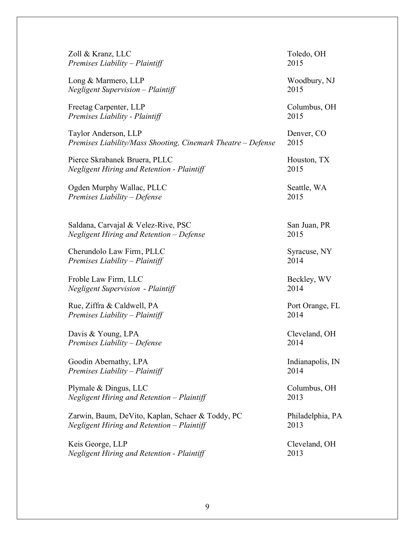| Zoll & Kranz, LLC                                            | Toledo, OH       |
|--------------------------------------------------------------|------------------|
| Premises Liability – Plaintiff                               | 2015             |
| Long & Marmero, LLP                                          | Woodbury, NJ     |
| <b>Negligent Supervision – Plaintiff</b>                     | 2015             |
| Freetag Carpenter, LLP                                       | Columbus, OH     |
| Premises Liability - Plaintiff                               | 2015             |
| Taylor Anderson, LLP                                         | Denver, CO       |
| Premises Liability/Mass Shooting, Cinemark Theatre – Defense | 2015             |
| Pierce Skrabanek Bruera, PLLC                                | Houston, TX      |
| <b>Negligent Hiring and Retention - Plaintiff</b>            | 2015             |
| Ogden Murphy Wallac, PLLC                                    | Seattle, WA      |
| Premises Liability - Defense                                 | 2015             |
| Saldana, Carvajal & Velez-Rive, PSC                          | San Juan, PR     |
| Negligent Hiring and Retention – Defense                     | 2015             |
| Cherundolo Law Firm, PLLC                                    | Syracuse, NY     |
| Premises Liability – Plaintiff                               | 2014             |
| Froble Law Firm, LLC                                         | Beckley, WV      |
| <b>Negligent Supervision - Plaintiff</b>                     | 2014             |
| Rue, Ziffra & Caldwell, PA                                   | Port Orange, FL  |
| Premises Liability - Plaintiff                               | 2014             |
| Davis & Young, LPA                                           | Cleveland, OH    |
| Premises Liability - Defense                                 | 2014             |
| Goodin Abernathy, LPA                                        | Indianapolis, IN |
| Premises Liability - Plaintiff                               | 2014             |
| Plymale & Dingus, LLC                                        | Columbus, OH     |
| Negligent Hiring and Retention - Plaintiff                   | 2013             |
| Zarwin, Baum, DeVito, Kaplan, Schaer & Toddy, PC             | Philadelphia, PA |
| Negligent Hiring and Retention - Plaintiff                   | 2013             |
| Keis George, LLP                                             | Cleveland, OH    |
| <b>Negligent Hiring and Retention - Plaintiff</b>            | 2013             |
|                                                              |                  |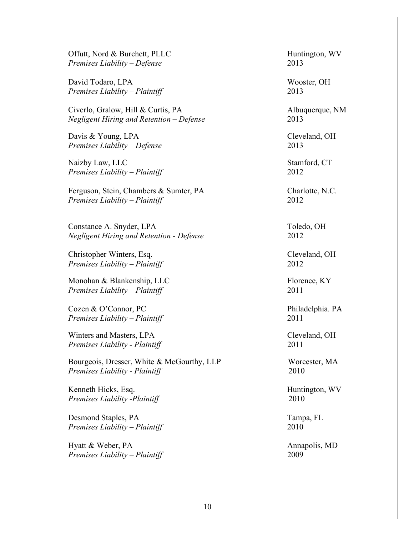Offutt, Nord & Burchett, PLLC Huntington, WV *Premises Liability – Defense* 2013

David Todaro, LPA Wooster, OH *Premises Liability – Plaintiff* 2013

Civerlo, Gralow, Hill & Curtis, PA Albuquerque, NM *Negligent Hiring and Retention – Defense* 2013

Davis & Young, LPA Cleveland, OH *Premises Liability – Defense* 2013

Naizby Law, LLC Stamford, CT *Premises Liability – Plaintiff* 2012

Ferguson, Stein, Chambers & Sumter, PA Charlotte, N.C. *Premises Liability – Plaintiff* 2012

Constance A. Snyder, LPA Toledo, OH *Negligent Hiring and Retention - Defense* 2012

Christopher Winters, Esq. Cleveland, OH *Premises Liability – Plaintiff* 2012

Monohan & Blankenship, LLC Florence, KY *Premises Liability – Plaintiff* 2011

Cozen & O'Connor, PC Philadelphia. PA *Premises Liability – Plaintiff* 2011

Winters and Masters, LPA Cleveland, OH *Premises Liability - Plaintiff* 2011

Bourgeois, Dresser, White & McGourthy, LLP Worcester, MA *Premises Liability - Plaintiff* 2010

Kenneth Hicks, Esq. **Huntington**, WV *Premises Liability -Plaintiff* 2010

Desmond Staples, PA Tampa, FL *Premises Liability – Plaintiff* 2010

Hyatt & Weber, PA Annapolis, MD *Premises Liability – Plaintiff* 2009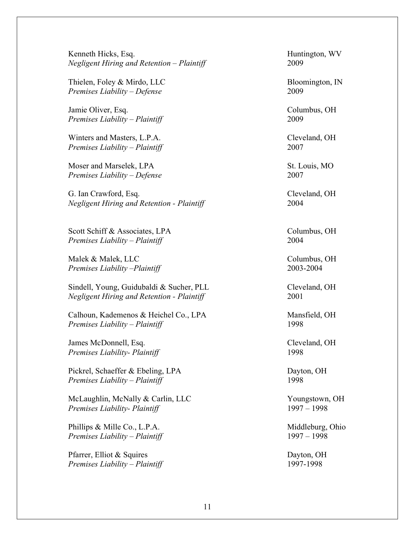Kenneth Hicks, Esq. **Example 2018** Huntington, WV *Negligent Hiring and Retention – Plaintiff* 2009

Thielen, Foley & Mirdo, LLC Bloomington, IN *Premises Liability – Defense* 2009

Jamie Oliver, Esq. Columbus, OH *Premises Liability – Plaintiff* 2009

Winters and Masters, L.P.A. Cleveland, OH *Premises Liability – Plaintiff* 2007

Moser and Marselek, LPA St. Louis, MO *Premises Liability – Defense* 2007

G. Ian Crawford, Esq.  $\blacksquare$ *Negligent Hiring and Retention - Plaintiff* 2004

Scott Schiff & Associates, LPA Columbus, OH *Premises Liability – Plaintiff* 2004

Malek & Malek, LLC Columbus, OH *Premises Liability –Plaintiff* 2003-2004

Sindell, Young, Guidubaldi & Sucher, PLL Cleveland, OH *Negligent Hiring and Retention - Plaintiff* 2001

Calhoun, Kademenos & Heichel Co., LPA Mansfield, OH *Premises Liability – Plaintiff* 1998

James McDonnell, Esq. Cleveland, OH *Premises Liability- Plaintiff* 1998

Pickrel, Schaeffer & Ebeling, LPA Dayton, OH *Premises Liability – Plaintiff* 1998

McLaughlin, McNally & Carlin, LLC Youngstown, OH *Premises Liability- Plaintiff* 1997 – 1998

Phillips & Mille Co., L.P.A. Middleburg, Ohio *Premises Liability – Plaintiff* 1997 – 1998

Pfarrer, Elliot & Squires Dayton, OH *Premises Liability – Plaintiff* 1997-1998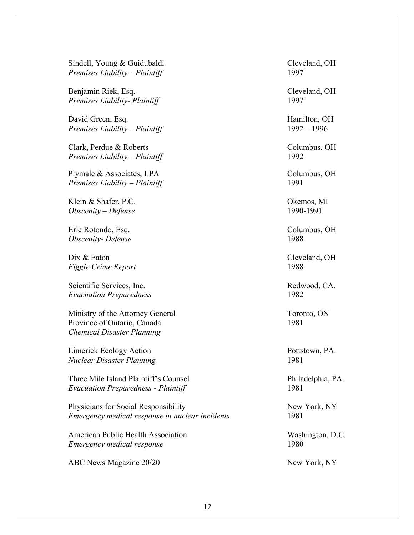Sindell, Young & Guidubaldi Cleveland, OH *Premises Liability – Plaintiff* 1997

Benjamin Riek, Esq. Cleveland, OH *Premises Liability- Plaintiff* 1997

David Green, Esq. **Hamilton**, OH *Premises Liability – Plaintiff* 1992 – 1996

Clark, Perdue & Roberts Columbus, OH *Premises Liability – Plaintiff* 1992

Plymale & Associates, LPA Columbus, OH *Premises Liability – Plaintiff* 1991

Klein & Shafer, P.C. **Camera** and *Colembia* and *Colembia* and *Colembia* and *Colembia* and *Colembia* and *Colembia* and *Colembia* and *Colembia* and *Colembia* and *Colembia* and *Colembia* and *Colembia* and *Colembi Obscenity – Defense* 1990-1991

Eric Rotondo, Esq. Columbus, OH *Obscenity- Defense* 1988

Dix & Eaton Cleveland, OH *Figgie Crime Report* 1988

Scientific Services, Inc. The Scientific Services, Inc. Assumed to the Redwood, CA. *Evacuation Preparedness* 1982

Ministry of the Attorney General Toronto, ON Province of Ontario, Canada 1981 *Chemical Disaster Planning*

Limerick Ecology Action Pottstown, PA. *Nuclear Disaster Planning* 1981

Three Mile Island Plaintiff's Counsel Philadelphia, PA. *Evacuation Preparedness - Plaintiff* 1981

Physicians for Social Responsibility New York, NY *Emergency medical response in nuclear incidents* 1981

American Public Health Association Washington, D.C. *Emergency medical response* 1980

ABC News Magazine 20/20 New York, NY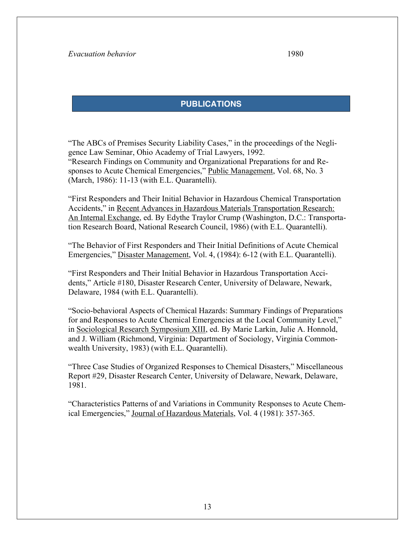### **PUBLICATIONS**

"The ABCs of Premises Security Liability Cases," in the proceedings of the Negligence Law Seminar, Ohio Academy of Trial Lawyers, 1992. "Research Findings on Community and Organizational Preparations for and Responses to Acute Chemical Emergencies," Public Management, Vol. 68, No. 3 (March, 1986): 11-13 (with E.L. Quarantelli).

"First Responders and Their Initial Behavior in Hazardous Chemical Transportation Accidents," in Recent Advances in Hazardous Materials Transportation Research: An Internal Exchange, ed. By Edythe Traylor Crump (Washington, D.C.: Transportation Research Board, National Research Council, 1986) (with E.L. Quarantelli).

"The Behavior of First Responders and Their Initial Definitions of Acute Chemical Emergencies," Disaster Management, Vol. 4, (1984): 6-12 (with E.L. Quarantelli).

"First Responders and Their Initial Behavior in Hazardous Transportation Accidents," Article #180, Disaster Research Center, University of Delaware, Newark, Delaware, 1984 (with E.L. Quarantelli).

"Socio-behavioral Aspects of Chemical Hazards: Summary Findings of Preparations for and Responses to Acute Chemical Emergencies at the Local Community Level," in Sociological Research Symposium XIII, ed. By Marie Larkin, Julie A. Honnold, and J. William (Richmond, Virginia: Department of Sociology, Virginia Commonwealth University, 1983) (with E.L. Quarantelli).

"Three Case Studies of Organized Responses to Chemical Disasters," Miscellaneous Report #29, Disaster Research Center, University of Delaware, Newark, Delaware, 1981.

"Characteristics Patterns of and Variations in Community Responses to Acute Chemical Emergencies," Journal of Hazardous Materials, Vol. 4 (1981): 357-365.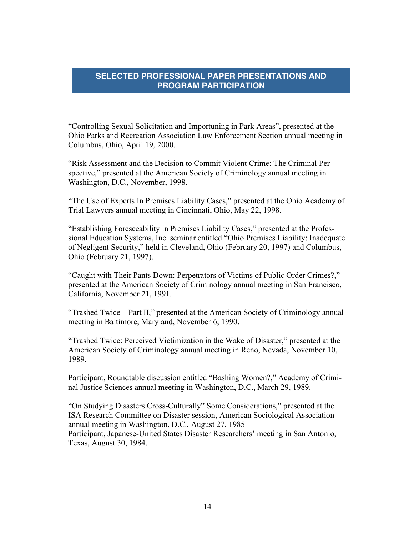#### **SELECTED PROFESSIONAL PAPER PRESENTATIONS AND PROGRAM PARTICIPATION**

"Controlling Sexual Solicitation and Importuning in Park Areas", presented at the Ohio Parks and Recreation Association Law Enforcement Section annual meeting in Columbus, Ohio, April 19, 2000.

"Risk Assessment and the Decision to Commit Violent Crime: The Criminal Perspective," presented at the American Society of Criminology annual meeting in Washington, D.C., November, 1998.

"The Use of Experts In Premises Liability Cases," presented at the Ohio Academy of Trial Lawyers annual meeting in Cincinnati, Ohio, May 22, 1998.

"Establishing Foreseeability in Premises Liability Cases," presented at the Professional Education Systems, Inc. seminar entitled "Ohio Premises Liability: Inadequate of Negligent Security," held in Cleveland, Ohio (February 20, 1997) and Columbus, Ohio (February 21, 1997).

"Caught with Their Pants Down: Perpetrators of Victims of Public Order Crimes?," presented at the American Society of Criminology annual meeting in San Francisco, California, November 21, 1991.

"Trashed Twice – Part II," presented at the American Society of Criminology annual meeting in Baltimore, Maryland, November 6, 1990.

"Trashed Twice: Perceived Victimization in the Wake of Disaster," presented at the American Society of Criminology annual meeting in Reno, Nevada, November 10, 1989.

Participant, Roundtable discussion entitled "Bashing Women?," Academy of Criminal Justice Sciences annual meeting in Washington, D.C., March 29, 1989.

"On Studying Disasters Cross-Culturally" Some Considerations," presented at the ISA Research Committee on Disaster session, American Sociological Association annual meeting in Washington, D.C., August 27, 1985 Participant, Japanese-United States Disaster Researchers' meeting in San Antonio,

Texas, August 30, 1984.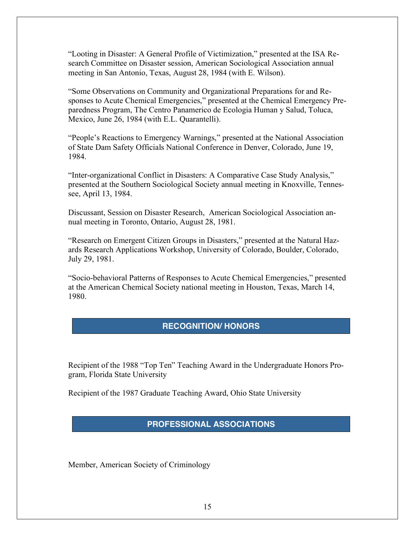"Looting in Disaster: A General Profile of Victimization," presented at the ISA Research Committee on Disaster session, American Sociological Association annual meeting in San Antonio, Texas, August 28, 1984 (with E. Wilson).

"Some Observations on Community and Organizational Preparations for and Responses to Acute Chemical Emergencies," presented at the Chemical Emergency Preparedness Program, The Centro Panamerico de Ecologia Human y Salud, Toluca, Mexico, June 26, 1984 (with E.L. Quarantelli).

"People's Reactions to Emergency Warnings," presented at the National Association of State Dam Safety Officials National Conference in Denver, Colorado, June 19, 1984.

"Inter-organizational Conflict in Disasters: A Comparative Case Study Analysis," presented at the Southern Sociological Society annual meeting in Knoxville, Tennessee, April 13, 1984.

Discussant, Session on Disaster Research, American Sociological Association annual meeting in Toronto, Ontario, August 28, 1981.

"Research on Emergent Citizen Groups in Disasters," presented at the Natural Hazards Research Applications Workshop, University of Colorado, Boulder, Colorado, July 29, 1981.

"Socio-behavioral Patterns of Responses to Acute Chemical Emergencies," presented at the American Chemical Society national meeting in Houston, Texas, March 14, 1980.

#### **RECOGNITION/ HONORS**

Recipient of the 1988 "Top Ten" Teaching Award in the Undergraduate Honors Program, Florida State University

Recipient of the 1987 Graduate Teaching Award, Ohio State University

#### **PROFESSIONAL ASSOCIATIONS**

Member, American Society of Criminology